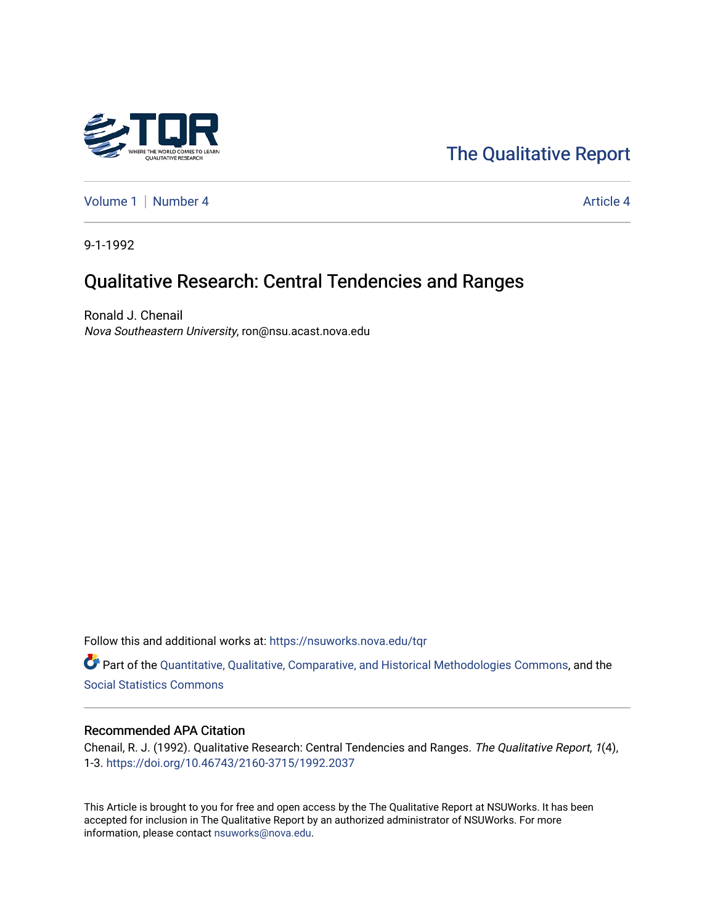

# [The Qualitative Report](https://nsuworks.nova.edu/tqr)

[Volume 1](https://nsuworks.nova.edu/tqr/vol1) | [Number 4](https://nsuworks.nova.edu/tqr/vol1/iss4) Article 4

9-1-1992

# Qualitative Research: Central Tendencies and Ranges

Ronald J. Chenail Nova Southeastern University, ron@nsu.acast.nova.edu

Follow this and additional works at: [https://nsuworks.nova.edu/tqr](https://nsuworks.nova.edu/tqr?utm_source=nsuworks.nova.edu%2Ftqr%2Fvol1%2Fiss4%2F4&utm_medium=PDF&utm_campaign=PDFCoverPages) 

Part of the [Quantitative, Qualitative, Comparative, and Historical Methodologies Commons,](http://network.bepress.com/hgg/discipline/423?utm_source=nsuworks.nova.edu%2Ftqr%2Fvol1%2Fiss4%2F4&utm_medium=PDF&utm_campaign=PDFCoverPages) and the [Social Statistics Commons](http://network.bepress.com/hgg/discipline/1275?utm_source=nsuworks.nova.edu%2Ftqr%2Fvol1%2Fiss4%2F4&utm_medium=PDF&utm_campaign=PDFCoverPages) 

#### Recommended APA Citation

Chenail, R. J. (1992). Qualitative Research: Central Tendencies and Ranges. The Qualitative Report, 1(4), 1-3.<https://doi.org/10.46743/2160-3715/1992.2037>

This Article is brought to you for free and open access by the The Qualitative Report at NSUWorks. It has been accepted for inclusion in The Qualitative Report by an authorized administrator of NSUWorks. For more information, please contact [nsuworks@nova.edu.](mailto:nsuworks@nova.edu)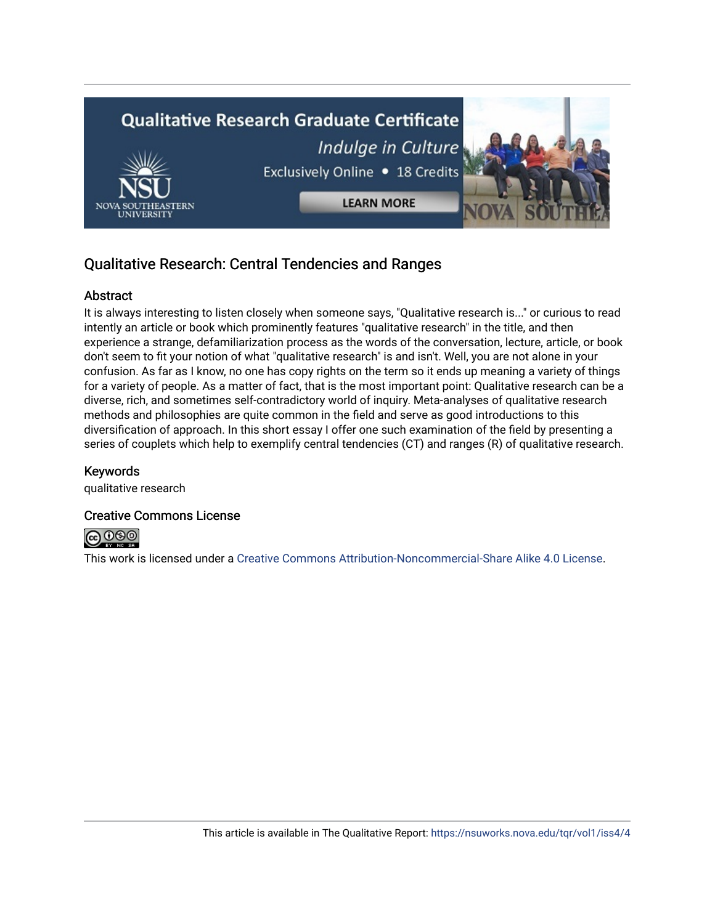

# Qualitative Research: Central Tendencies and Ranges

# **Abstract**

It is always interesting to listen closely when someone says, "Qualitative research is..." or curious to read intently an article or book which prominently features "qualitative research" in the title, and then experience a strange, defamiliarization process as the words of the conversation, lecture, article, or book don't seem to fit your notion of what "qualitative research" is and isn't. Well, you are not alone in your confusion. As far as I know, no one has copy rights on the term so it ends up meaning a variety of things for a variety of people. As a matter of fact, that is the most important point: Qualitative research can be a diverse, rich, and sometimes self-contradictory world of inquiry. Meta-analyses of qualitative research methods and philosophies are quite common in the field and serve as good introductions to this diversification of approach. In this short essay I offer one such examination of the field by presenting a series of couplets which help to exemplify central tendencies (CT) and ranges (R) of qualitative research.

# Keywords

qualitative research

# Creative Commons License



This work is licensed under a [Creative Commons Attribution-Noncommercial-Share Alike 4.0 License](https://creativecommons.org/licenses/by-nc-sa/4.0/).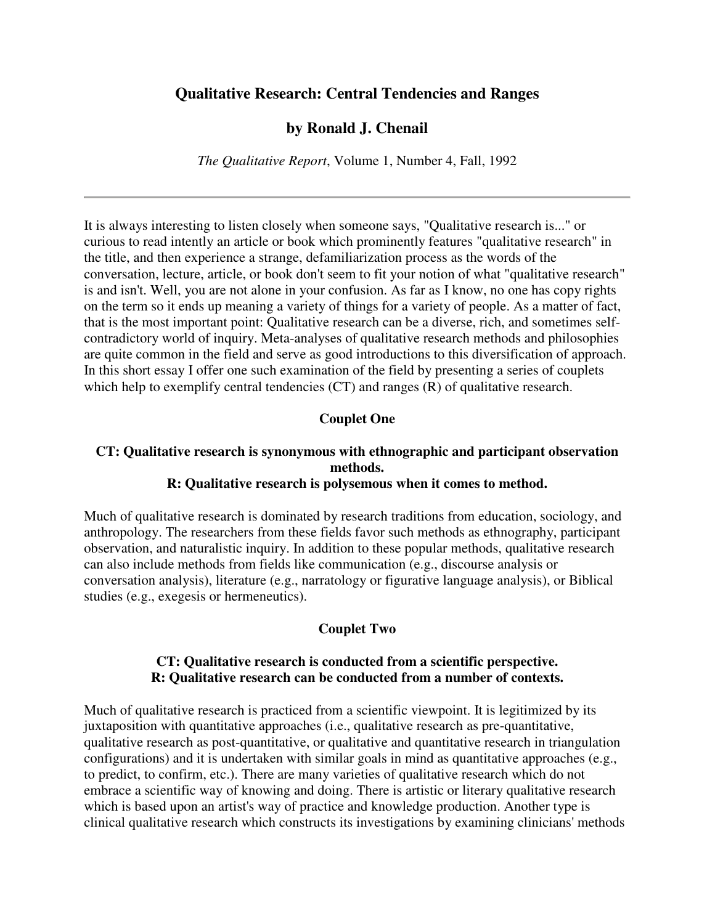#### **Qualitative Research: Central Tendencies and Ranges**

#### **by Ronald J. Chenail**

*The Qualitative Report*, Volume 1, Number 4, Fall, 1992

It is always interesting to listen closely when someone says, "Qualitative research is..." or curious to read intently an article or book which prominently features "qualitative research" in the title, and then experience a strange, defamiliarization process as the words of the conversation, lecture, article, or book don't seem to fit your notion of what "qualitative research" is and isn't. Well, you are not alone in your confusion. As far as I know, no one has copy rights on the term so it ends up meaning a variety of things for a variety of people. As a matter of fact, that is the most important point: Qualitative research can be a diverse, rich, and sometimes selfcontradictory world of inquiry. Meta-analyses of qualitative research methods and philosophies are quite common in the field and serve as good introductions to this diversification of approach. In this short essay I offer one such examination of the field by presenting a series of couplets which help to exemplify central tendencies (CT) and ranges (R) of qualitative research.

#### **Couplet One**

# **CT: Qualitative research is synonymous with ethnographic and participant observation methods.**

#### **R: Qualitative research is polysemous when it comes to method.**

Much of qualitative research is dominated by research traditions from education, sociology, and anthropology. The researchers from these fields favor such methods as ethnography, participant observation, and naturalistic inquiry. In addition to these popular methods, qualitative research can also include methods from fields like communication (e.g., discourse analysis or conversation analysis), literature (e.g., narratology or figurative language analysis), or Biblical studies (e.g., exegesis or hermeneutics).

#### **Couplet Two**

#### **CT: Qualitative research is conducted from a scientific perspective. R: Qualitative research can be conducted from a number of contexts.**

Much of qualitative research is practiced from a scientific viewpoint. It is legitimized by its juxtaposition with quantitative approaches (i.e., qualitative research as pre-quantitative, qualitative research as post-quantitative, or qualitative and quantitative research in triangulation configurations) and it is undertaken with similar goals in mind as quantitative approaches (e.g., to predict, to confirm, etc.). There are many varieties of qualitative research which do not embrace a scientific way of knowing and doing. There is artistic or literary qualitative research which is based upon an artist's way of practice and knowledge production. Another type is clinical qualitative research which constructs its investigations by examining clinicians' methods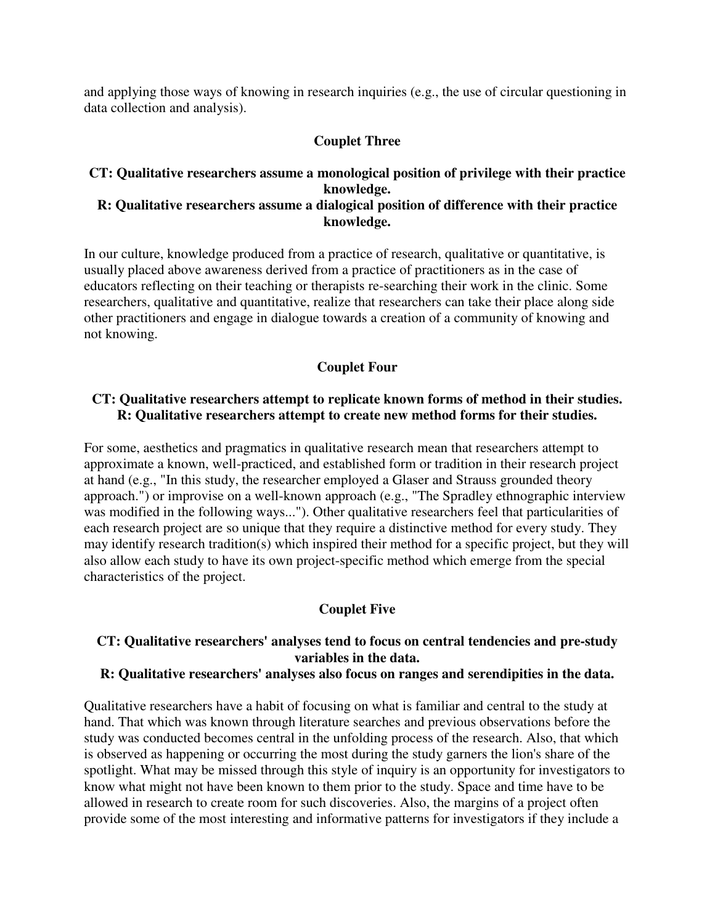and applying those ways of knowing in research inquiries (e.g., the use of circular questioning in data collection and analysis).

# **Couplet Three**

#### **CT: Qualitative researchers assume a monological position of privilege with their practice knowledge. R: Qualitative researchers assume a dialogical position of difference with their practice**

# **knowledge.**

In our culture, knowledge produced from a practice of research, qualitative or quantitative, is usually placed above awareness derived from a practice of practitioners as in the case of educators reflecting on their teaching or therapists re-searching their work in the clinic. Some researchers, qualitative and quantitative, realize that researchers can take their place along side other practitioners and engage in dialogue towards a creation of a community of knowing and not knowing.

# **Couplet Four**

#### **CT: Qualitative researchers attempt to replicate known forms of method in their studies. R: Qualitative researchers attempt to create new method forms for their studies.**

For some, aesthetics and pragmatics in qualitative research mean that researchers attempt to approximate a known, well-practiced, and established form or tradition in their research project at hand (e.g., "In this study, the researcher employed a Glaser and Strauss grounded theory approach.") or improvise on a well-known approach (e.g., "The Spradley ethnographic interview was modified in the following ways..."). Other qualitative researchers feel that particularities of each research project are so unique that they require a distinctive method for every study. They may identify research tradition(s) which inspired their method for a specific project, but they will also allow each study to have its own project-specific method which emerge from the special characteristics of the project.

# **Couplet Five**

# **CT: Qualitative researchers' analyses tend to focus on central tendencies and pre-study variables in the data.**

# **R: Qualitative researchers' analyses also focus on ranges and serendipities in the data.**

Qualitative researchers have a habit of focusing on what is familiar and central to the study at hand. That which was known through literature searches and previous observations before the study was conducted becomes central in the unfolding process of the research. Also, that which is observed as happening or occurring the most during the study garners the lion's share of the spotlight. What may be missed through this style of inquiry is an opportunity for investigators to know what might not have been known to them prior to the study. Space and time have to be allowed in research to create room for such discoveries. Also, the margins of a project often provide some of the most interesting and informative patterns for investigators if they include a